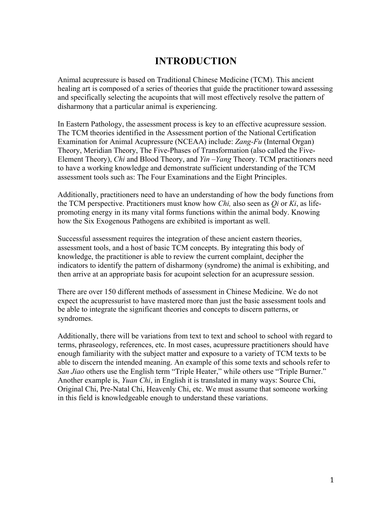# **INTRODUCTION**

Animal acupressure is based on Traditional Chinese Medicine (TCM). This ancient healing art is composed of a series of theories that guide the practitioner toward assessing and specifically selecting the acupoints that will most effectively resolve the pattern of disharmony that a particular animal is experiencing.

In Eastern Pathology, the assessment process is key to an effective acupressure session. The TCM theories identified in the Assessment portion of the National Certification Examination for Animal Acupressure (NCEAA) include: *Zang-Fu* (Internal Organ) Theory, Meridian Theory, The Five-Phases of Transformation (also called the Five-Element Theory), *Chi* and Blood Theory, and *Yin –Yang* Theory. TCM practitioners need to have a working knowledge and demonstrate sufficient understanding of the TCM assessment tools such as: The Four Examinations and the Eight Principles.

Additionally, practitioners need to have an understanding of how the body functions from the TCM perspective. Practitioners must know how *Chi,* also seen as *Qi* or *Ki*, as lifepromoting energy in its many vital forms functions within the animal body. Knowing how the Six Exogenous Pathogens are exhibited is important as well.

Successful assessment requires the integration of these ancient eastern theories, assessment tools, and a host of basic TCM concepts. By integrating this body of knowledge, the practitioner is able to review the current complaint, decipher the indicators to identify the pattern of disharmony (syndrome) the animal is exhibiting, and then arrive at an appropriate basis for acupoint selection for an acupressure session.

There are over 150 different methods of assessment in Chinese Medicine. We do not expect the acupressurist to have mastered more than just the basic assessment tools and be able to integrate the significant theories and concepts to discern patterns, or syndromes.

Additionally, there will be variations from text to text and school to school with regard to terms, phraseology, references, etc. In most cases, acupressure practitioners should have enough familiarity with the subject matter and exposure to a variety of TCM texts to be able to discern the intended meaning. An example of this some texts and schools refer to *San Jiao* others use the English term "Triple Heater," while others use "Triple Burner." Another example is, *Yuan Chi*, in English it is translated in many ways: Source Chi, Original Chi, Pre-Natal Chi, Heavenly Chi, etc. We must assume that someone working in this field is knowledgeable enough to understand these variations.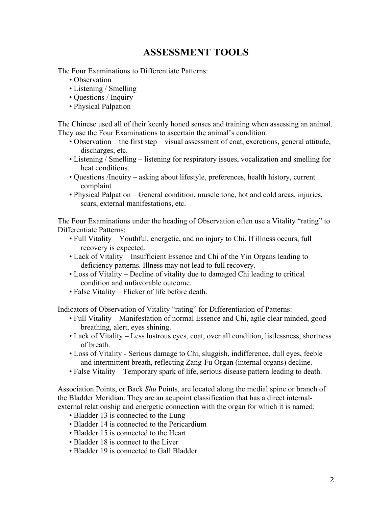# **ASSESSMENT TOOLS**

The Four Examinations to Differentiate Patterns:

- Observation
- Listening / Smelling
- Questions / Inquiry
- Physical Palpation

The Chinese used all of their keenly honed senses and training when assessing an animal. They use the Four Examinations to ascertain the animal's condition.

- Observation the first step visual assessment of coat, excretions, general attitude, discharges, etc.
- Listening / Smelling listening for respiratory issues, vocalization and smelling for heat conditions.
- Questions /Inquiry asking about lifestyle, preferences, health history, current complaint
- Physical Palpation General condition, muscle tone, hot and cold areas, injuries, scars, external manifestations, etc.

The Four Examinations under the heading of Observation often use a Vitality "rating" to Differentiate Patterns:

- Full Vitality Youthful, energetic, and no injury to Chi. If illness occurs, full recovery is expected.
- Lack of Vitality Insufficient Essence and Chi of the Yin Organs leading to deficiency patterns. Illness may not lead to full recovery.
- Loss of Vitality Decline of vitality due to damaged Chi leading to critical condition and unfavorable outcome.
- False Vitality Flicker of life before death.

Indicators of Observation of Vitality "rating" for Differentiation of Patterns:

- Full Vitality Manifestation of normal Essence and Chi, agile clear minded, good breathing, alert, eyes shining.
- Lack of Vitality Less lustrous eyes, coat, over all condition, listlessness, shortness of breath.
- Loss of Vitality Serious damage to Chi, sluggish, indifference, dull eyes, feeble and intermittent breath, reflecting Zang-Fu Organ (internal organs) decline.
- False Vitality Temporary spark of life, serious disease pattern leading to death.

Association Points, or Back *Shu* Points, are located along the medial spine or branch of the Bladder Meridian. They are an acupoint classification that has a direct internalexternal relationship and energetic connection with the organ for which it is named:

- Bladder 13 is connected to the Lung
- Bladder 14 is connected to the Pericardium
- Bladder 15 is connected to the Heart
- Bladder 18 is connect to the Liver
- Bladder 19 is connected to Gall Bladder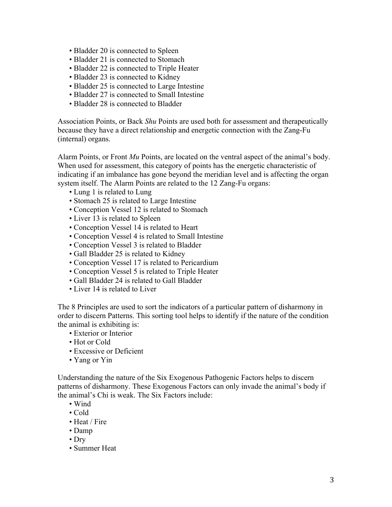- Bladder 20 is connected to Spleen
- Bladder 21 is connected to Stomach
- Bladder 22 is connected to Triple Heater
- Bladder 23 is connected to Kidney
- Bladder 25 is connected to Large Intestine
- Bladder 27 is connected to Small Intestine
- Bladder 28 is connected to Bladder

Association Points, or Back *Shu* Points are used both for assessment and therapeutically because they have a direct relationship and energetic connection with the Zang-Fu (internal) organs.

Alarm Points, or Front *Mu* Points, are located on the ventral aspect of the animal's body. When used for assessment, this category of points has the energetic characteristic of indicating if an imbalance has gone beyond the meridian level and is affecting the organ system itself. The Alarm Points are related to the 12 Zang-Fu organs:

- Lung 1 is related to Lung
- Stomach 25 is related to Large Intestine
- Conception Vessel 12 is related to Stomach
- Liver 13 is related to Spleen
- Conception Vessel 14 is related to Heart
- Conception Vessel 4 is related to Small Intestine
- Conception Vessel 3 is related to Bladder
- Gall Bladder 25 is related to Kidney
- Conception Vessel 17 is related to Pericardium
- Conception Vessel 5 is related to Triple Heater
- Gall Bladder 24 is related to Gall Bladder
- Liver 14 is related to Liver

The 8 Principles are used to sort the indicators of a particular pattern of disharmony in order to discern Patterns. This sorting tool helps to identify if the nature of the condition the animal is exhibiting is:

- Exterior or Interior
- Hot or Cold
- Excessive or Deficient
- Yang or Yin

Understanding the nature of the Six Exogenous Pathogenic Factors helps to discern patterns of disharmony. These Exogenous Factors can only invade the animal's body if the animal's Chi is weak. The Six Factors include:

- Wind
- Cold
- Heat / Fire
- Damp
- Dry
- Summer Heat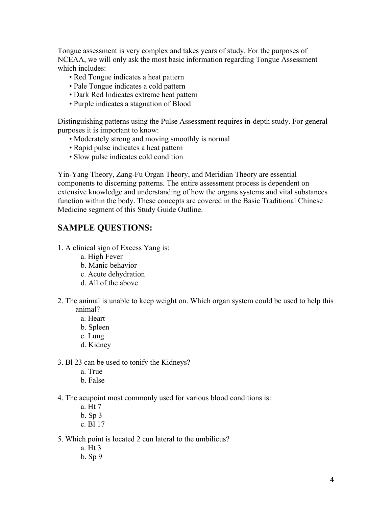Tongue assessment is very complex and takes years of study. For the purposes of NCEAA, we will only ask the most basic information regarding Tongue Assessment which includes:

- Red Tongue indicates a heat pattern
- Pale Tongue indicates a cold pattern
- Dark Red Indicates extreme heat pattern
- Purple indicates a stagnation of Blood

Distinguishing patterns using the Pulse Assessment requires in-depth study. For general purposes it is important to know:

- Moderately strong and moving smoothly is normal
- Rapid pulse indicates a heat pattern
- Slow pulse indicates cold condition

Yin-Yang Theory, Zang-Fu Organ Theory, and Meridian Theory are essential components to discerning patterns. The entire assessment process is dependent on extensive knowledge and understanding of how the organs systems and vital substances function within the body. These concepts are covered in the Basic Traditional Chinese Medicine segment of this Study Guide Outline.

## **SAMPLE QUESTIONS:**

- 1. A clinical sign of Excess Yang is:
	- a. High Fever
	- b. Manic behavior
	- c. Acute dehydration
	- d. All of the above
- 2. The animal is unable to keep weight on. Which organ system could be used to help this animal?
	- a. Heart
	- b. Spleen
	- c. Lung
	- d. Kidney
- 3. Bl 23 can be used to tonify the Kidneys?
	- a. True
	- b. False
- 4. The acupoint most commonly used for various blood conditions is:
	- a. Ht 7
	- b. Sp 3
	- c. Bl 17
- 5. Which point is located 2 cun lateral to the umbilicus?
	- a. Ht 3
	- b. Sp 9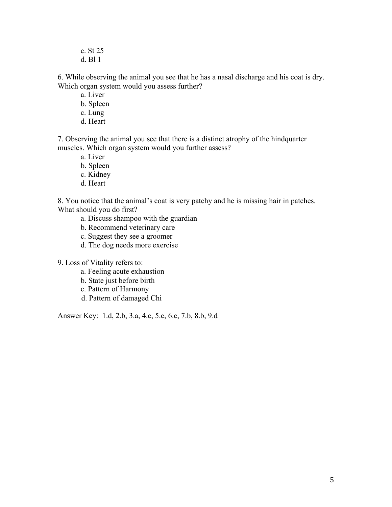c. St 25 d. Bl 1

6. While observing the animal you see that he has a nasal discharge and his coat is dry. Which organ system would you assess further?

- a. Liver
- b. Spleen
- c. Lung
- d. Heart

7. Observing the animal you see that there is a distinct atrophy of the hindquarter muscles. Which organ system would you further assess?

- a. Liver
- b. Spleen
- c. Kidney
- d. Heart

8. You notice that the animal's coat is very patchy and he is missing hair in patches. What should you do first?

- a. Discuss shampoo with the guardian
- b. Recommend veterinary care
- c. Suggest they see a groomer
- d. The dog needs more exercise

9. Loss of Vitality refers to:

- a. Feeling acute exhaustion
- b. State just before birth
- c. Pattern of Harmony
- d. Pattern of damaged Chi

Answer Key: 1.d, 2.b, 3.a, 4.c, 5.c, 6.c, 7.b, 8.b, 9.d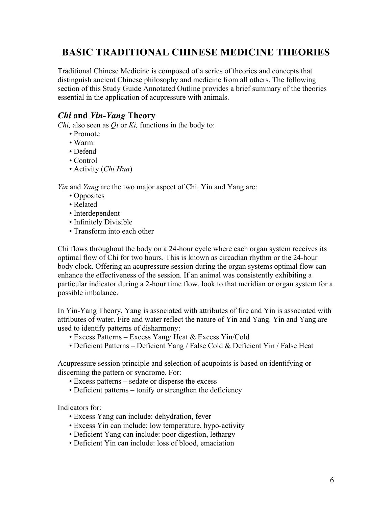# **BASIC TRADITIONAL CHINESE MEDICINE THEORIES**

Traditional Chinese Medicine is composed of a series of theories and concepts that distinguish ancient Chinese philosophy and medicine from all others. The following section of this Study Guide Annotated Outline provides a brief summary of the theories essential in the application of acupressure with animals.

## *Chi* **and** *Yin-Yang* **Theory**

*Chi,* also seen as *Qi* or *Ki,* functions in the body to:

- Promote
- Warm
- Defend
- Control
- Activity (*Chi Hua*)

*Yin* and *Yang* are the two major aspect of Chi. Yin and Yang are:

- Opposites
- Related
- Interdependent
- Infinitely Divisible
- Transform into each other

Chi flows throughout the body on a 24-hour cycle where each organ system receives its optimal flow of Chi for two hours. This is known as circadian rhythm or the 24-hour body clock. Offering an acupressure session during the organ systems optimal flow can enhance the effectiveness of the session. If an animal was consistently exhibiting a particular indicator during a 2-hour time flow, look to that meridian or organ system for a possible imbalance.

In Yin-Yang Theory, Yang is associated with attributes of fire and Yin is associated with attributes of water. Fire and water reflect the nature of Yin and Yang. Yin and Yang are used to identify patterns of disharmony:

- Excess Patterns Excess Yang/ Heat & Excess Yin/Cold
- Deficient Patterns Deficient Yang / False Cold & Deficient Yin / False Heat

Acupressure session principle and selection of acupoints is based on identifying or discerning the pattern or syndrome. For:

- Excess patterns sedate or disperse the excess
- Deficient patterns tonify or strengthen the deficiency

Indicators for:

- Excess Yang can include: dehydration, fever
- Excess Yin can include: low temperature, hypo-activity
- Deficient Yang can include: poor digestion, lethargy
- Deficient Yin can include: loss of blood, emaciation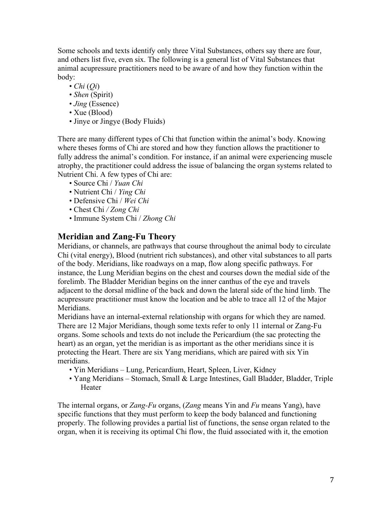Some schools and texts identify only three Vital Substances, others say there are four, and others list five, even six. The following is a general list of Vital Substances that animal acupressure practitioners need to be aware of and how they function within the body:

- $\bullet$  *Chi*  $(Oi)$
- *Shen* (Spirit)
- *Jing* (Essence)
- Xue (Blood)
- Jinye or Jingye (Body Fluids)

There are many different types of Chi that function within the animal's body. Knowing where theses forms of Chi are stored and how they function allows the practitioner to fully address the animal's condition. For instance, if an animal were experiencing muscle atrophy, the practitioner could address the issue of balancing the organ systems related to Nutrient Chi. A few types of Chi are:

- Source Chi / *Yuan Chi*
- Nutrient Chi / *Ying Chi*
- Defensive Chi / *Wei Chi*
- Chest Chi */ Zong Chi*
- Immune System Chi / *Zhong Chi*

## **Meridian and Zang-Fu Theory**

Meridians, or channels, are pathways that course throughout the animal body to circulate Chi (vital energy), Blood (nutrient rich substances), and other vital substances to all parts of the body. Meridians, like roadways on a map, flow along specific pathways. For instance, the Lung Meridian begins on the chest and courses down the medial side of the forelimb. The Bladder Meridian begins on the inner canthus of the eye and travels adjacent to the dorsal midline of the back and down the lateral side of the hind limb. The acupressure practitioner must know the location and be able to trace all 12 of the Major **Meridians** 

Meridians have an internal-external relationship with organs for which they are named. There are 12 Major Meridians, though some texts refer to only 11 internal or Zang-Fu organs. Some schools and texts do not include the Pericardium (the sac protecting the heart) as an organ, yet the meridian is as important as the other meridians since it is protecting the Heart. There are six Yang meridians, which are paired with six Yin meridians.

- Yin Meridians Lung, Pericardium, Heart, Spleen, Liver, Kidney
- Yang Meridians Stomach, Small & Large Intestines, Gall Bladder, Bladder, Triple Heater

The internal organs, or *Zang-Fu* organs, (*Zang* means Yin and *Fu* means Yang), have specific functions that they must perform to keep the body balanced and functioning properly. The following provides a partial list of functions, the sense organ related to the organ, when it is receiving its optimal Chi flow, the fluid associated with it, the emotion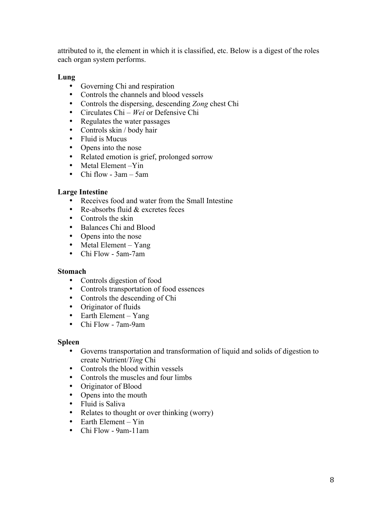attributed to it, the element in which it is classified, etc. Below is a digest of the roles each organ system performs.

### **Lung**

- Governing Chi and respiration
- Controls the channels and blood vessels
- Controls the dispersing, descending *Zong* chest Chi
- Circulates Chi *Wei* or Defensive Chi
- Regulates the water passages
- Controls skin / body hair
- Fluid is Mucus
- Opens into the nose
- Related emotion is grief, prolonged sorrow
- Metal Element Yin
- Chi flow 3am 5am

### **Large Intestine**

- Receives food and water from the Small Intestine
- Re-absorbs fluid & excretes feces
- Controls the skin
- Balances Chi and Blood
- Opens into the nose
- Metal Element Yang
- Chi Flow 5am-7am

### **Stomach**

- Controls digestion of food
- Controls transportation of food essences
- Controls the descending of Chi
- Originator of fluids
- Earth Element Yang
- Chi Flow 7am-9am

### **Spleen**

- Governs transportation and transformation of liquid and solids of digestion to create Nutrient/*Ying* Chi
- Controls the blood within vessels
- Controls the muscles and four limbs
- Originator of Blood
- Opens into the mouth
- Fluid is Saliva
- Relates to thought or over thinking (worry)
- Earth Element Yin
- Chi Flow 9am-11am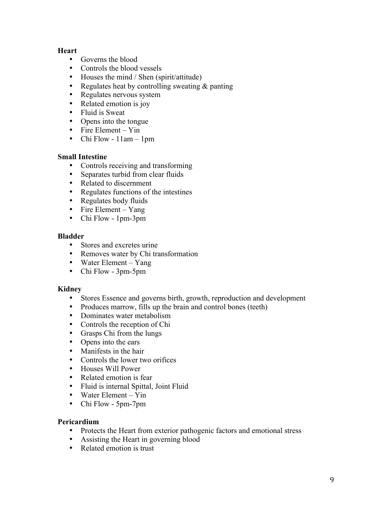### **Heart**

- Governs the blood
- Controls the blood vessels
- Houses the mind / Shen (spirit/attitude)
- Regulates heat by controlling sweating & panting
- Regulates nervous system
- Related emotion is joy
- Fluid is Sweat
- Opens into the tongue
- Fire Element Yin
- Chi Flow  $11$ am  $-1$ pm

### **Small Intestine**

- Controls receiving and transforming
- Separates turbid from clear fluids
- Related to discernment
- Regulates functions of the intestines
- Regulates body fluids
- Fire Element Yang
- Chi Flow 1pm-3pm

### **Bladder**

- Stores and excretes urine
- Removes water by Chi transformation
- Water Element Yang
- Chi Flow 3pm-5pm

### **Kidney**

- Stores Essence and governs birth, growth, reproduction and development
- Produces marrow, fills up the brain and control bones (teeth)
- Dominates water metabolism
- Controls the reception of Chi
- Grasps Chi from the lungs
- Opens into the ears
- Manifests in the hair
- Controls the lower two orifices
- Houses Will Power
- Related emotion is fear
- Fluid is internal Spittal, Joint Fluid
- Water Element Yin
- Chi Flow 5pm-7pm

### **Pericardium**

- Protects the Heart from exterior pathogenic factors and emotional stress
- Assisting the Heart in governing blood
- Related emotion is trust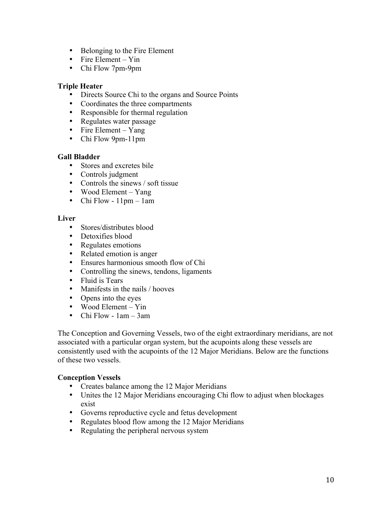- Belonging to the Fire Element
- Fire Element Yin
- Chi Flow 7pm-9pm

### **Triple Heater**

- Directs Source Chi to the organs and Source Points
- Coordinates the three compartments
- Responsible for thermal regulation
- Regulates water passage
- Fire Element Yang
- Chi Flow 9pm-11pm

### **Gall Bladder**

- Stores and excretes bile
- Controls judgment
- Controls the sinews / soft tissue
- Wood Element Yang
- Chi Flow 11pm 1am

### **Liver**

- Stores/distributes blood
- Detoxifies blood
- Regulates emotions
- Related emotion is anger
- Ensures harmonious smooth flow of Chi
- Controlling the sinews, tendons, ligaments
- Fluid is Tears
- Manifests in the nails / hooves
- Opens into the eyes
- Wood Element Yin
- Chi Flow 1am 3am

The Conception and Governing Vessels, two of the eight extraordinary meridians, are not associated with a particular organ system, but the acupoints along these vessels are consistently used with the acupoints of the 12 Major Meridians. Below are the functions of these two vessels.

### **Conception Vessels**

- Creates balance among the 12 Major Meridians
- Unites the 12 Major Meridians encouraging Chi flow to adjust when blockages exist
- Governs reproductive cycle and fetus development
- Regulates blood flow among the 12 Major Meridians
- Regulating the peripheral nervous system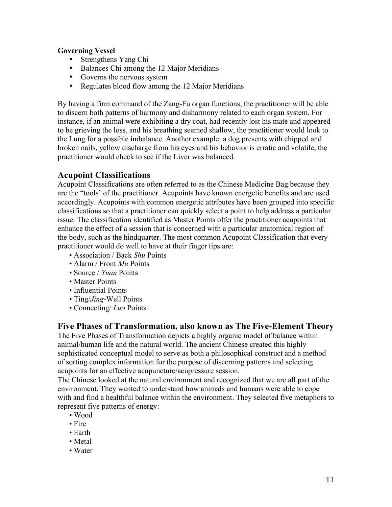### **Governing Vessel**

- Strengthens Yang Chi
- Balances Chi among the 12 Major Meridians
- Governs the nervous system
- Regulates blood flow among the 12 Major Meridians

By having a firm command of the Zang-Fu organ functions, the practitioner will be able to discern both patterns of harmony and disharmony related to each organ system. For instance, if an animal were exhibiting a dry coat, had recently lost his mate and appeared to be grieving the loss, and his breathing seemed shallow, the practitioner would look to the Lung for a possible imbalance. Another example: a dog presents with chipped and broken nails, yellow discharge from his eyes and his behavior is erratic and volatile, the practitioner would check to see if the Liver was balanced.

## **Acupoint Classifications**

Acupoint Classifications are often referred to as the Chinese Medicine Bag because they are the "tools' of the practitioner. Acupoints have known energetic benefits and are used accordingly. Acupoints with common energetic attributes have been grouped into specific classifications so that a practitioner can quickly select a point to help address a particular issue. The classification identified as Master Points offer the practitioner acupoints that enhance the effect of a session that is concerned with a particular anatomical region of the body, such as the hindquarter. The most common Acupoint Classification that every practitioner would do well to have at their finger tips are:

- Association / Back *Shu* Points
- Alarm / Front *Mu* Points
- Source / *Yuan* Points
- Master Points
- Influential Points
- Ting/*Jing*-Well Points
- Connecting/ *Luo* Points

## **Five Phases of Transformation, also known as The Five-Element Theory**

The Five Phases of Transformation depicts a highly organic model of balance within animal/human life and the natural world. The ancient Chinese created this highly sophisticated conceptual model to serve as both a philosophical construct and a method of sorting complex information for the purpose of discerning patterns and selecting acupoints for an effective acupuncture/acupressure session.

The Chinese looked at the natural environment and recognized that we are all part of the environment. They wanted to understand how animals and humans were able to cope with and find a healthful balance within the environment. They selected five metaphors to represent five patterns of energy:

- Wood
- Fire
- Earth
- Metal
- Water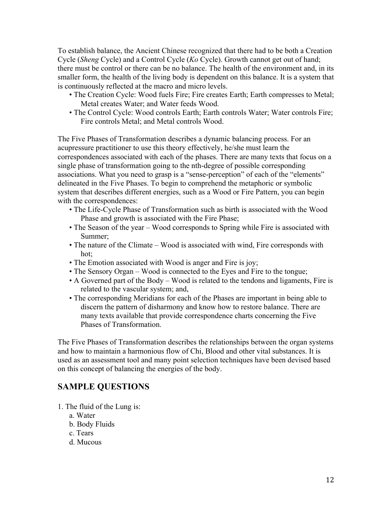To establish balance, the Ancient Chinese recognized that there had to be both a Creation Cycle (*Sheng* Cycle) and a Control Cycle (*Ko* Cycle). Growth cannot get out of hand; there must be control or there can be no balance. The health of the environment and, in its smaller form, the health of the living body is dependent on this balance. It is a system that is continuously reflected at the macro and micro levels.

- The Creation Cycle: Wood fuels Fire; Fire creates Earth; Earth compresses to Metal; Metal creates Water; and Water feeds Wood.
- The Control Cycle: Wood controls Earth; Earth controls Water; Water controls Fire; Fire controls Metal; and Metal controls Wood.

The Five Phases of Transformation describes a dynamic balancing process. For an acupressure practitioner to use this theory effectively, he/she must learn the correspondences associated with each of the phases. There are many texts that focus on a single phase of transformation going to the nth-degree of possible corresponding associations. What you need to grasp is a "sense-perception" of each of the "elements" delineated in the Five Phases. To begin to comprehend the metaphoric or symbolic system that describes different energies, such as a Wood or Fire Pattern, you can begin with the correspondences:

- The Life-Cycle Phase of Transformation such as birth is associated with the Wood Phase and growth is associated with the Fire Phase;
- The Season of the year Wood corresponds to Spring while Fire is associated with Summer;
- The nature of the Climate Wood is associated with wind, Fire corresponds with hot;
- The Emotion associated with Wood is anger and Fire is joy;
- The Sensory Organ Wood is connected to the Eyes and Fire to the tongue;
- A Governed part of the Body Wood is related to the tendons and ligaments, Fire is related to the vascular system; and,
- The corresponding Meridians for each of the Phases are important in being able to discern the pattern of disharmony and know how to restore balance. There are many texts available that provide correspondence charts concerning the Five Phases of Transformation.

The Five Phases of Transformation describes the relationships between the organ systems and how to maintain a harmonious flow of Chi, Blood and other vital substances. It is used as an assessment tool and many point selection techniques have been devised based on this concept of balancing the energies of the body.

## **SAMPLE QUESTIONS**

- 1. The fluid of the Lung is:
	- a. Water
	- b. Body Fluids
	- c. Tears
	- d. Mucous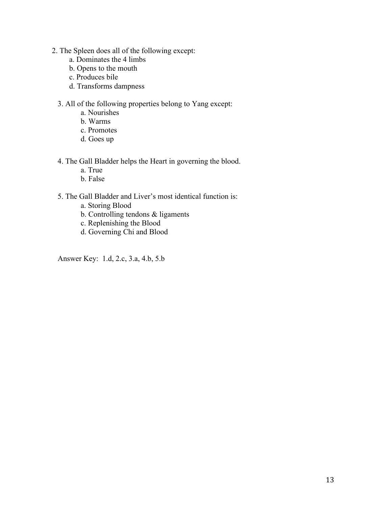- 2. The Spleen does all of the following except:
	- a. Dominates the 4 limbs
	- b. Opens to the mouth
	- c. Produces bile
	- d. Transforms dampness
	- 3. All of the following properties belong to Yang except:
		- a. Nourishes
		- b. Warms
		- c. Promotes
		- d. Goes up
	- 4. The Gall Bladder helps the Heart in governing the blood.
		- a. True
		- b. False
	- 5. The Gall Bladder and Liver's most identical function is:
		- a. Storing Blood
		- b. Controlling tendons & ligaments
		- c. Replenishing the Blood
		- d. Governing Chi and Blood

Answer Key: 1.d, 2.c, 3.a, 4.b, 5.b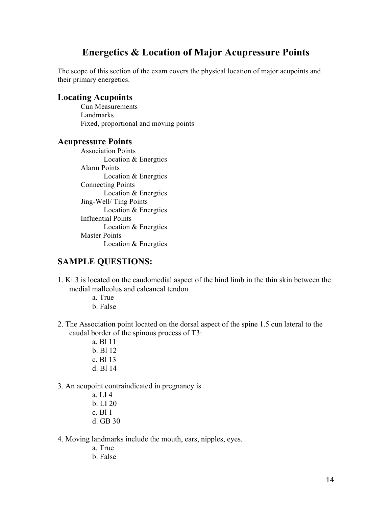# **Energetics & Location of Major Acupressure Points**

The scope of this section of the exam covers the physical location of major acupoints and their primary energetics.

### **Locating Acupoints**

Cun Measurements Landmarks Fixed, proportional and moving points

### **Acupressure Points**

Association Points Location & Energtics Alarm Points Location & Energtics Connecting Points Location & Energtics Jing-Well/ Ting Points Location & Energtics Influential Points Location & Energtics Master Points Location & Energtics

## **SAMPLE QUESTIONS:**

- 1. Ki 3 is located on the caudomedial aspect of the hind limb in the thin skin between the medial malleolus and calcaneal tendon.
	- a. True
	- b. False
- 2. The Association point located on the dorsal aspect of the spine 1.5 cun lateral to the caudal border of the spinous process of T3:
	- a. Bl 11 b. Bl 12
	- c. Bl 13
	- d. Bl 14
- 3. An acupoint contraindicated in pregnancy is
	- a. LI 4 b. LI 20 c. Bl 1 d. GB 30
- 4. Moving landmarks include the mouth, ears, nipples, eyes.
	- a. True
	- b. False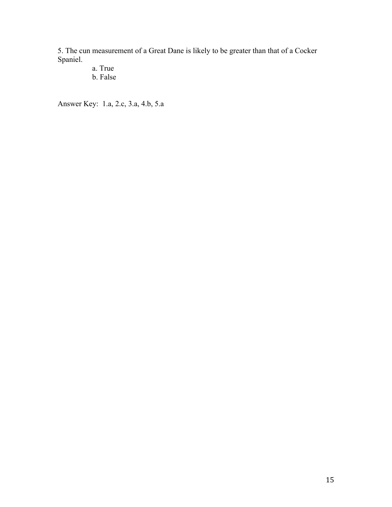5. The cun measurement of a Great Dane is likely to be greater than that of a Cocker Spaniel.

> a. True b. False

Answer Key: 1.a, 2.c, 3.a, 4.b, 5.a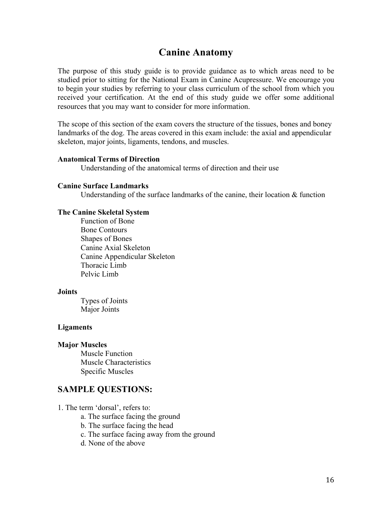# **Canine Anatomy**

The purpose of this study guide is to provide guidance as to which areas need to be studied prior to sitting for the National Exam in Canine Acupressure. We encourage you to begin your studies by referring to your class curriculum of the school from which you received your certification. At the end of this study guide we offer some additional resources that you may want to consider for more information.

The scope of this section of the exam covers the structure of the tissues, bones and boney landmarks of the dog. The areas covered in this exam include: the axial and appendicular skeleton, major joints, ligaments, tendons, and muscles.

#### **Anatomical Terms of Direction**

Understanding of the anatomical terms of direction and their use

#### **Canine Surface Landmarks**

Understanding of the surface landmarks of the canine, their location  $\&$  function

#### **The Canine Skeletal System**

Function of Bone Bone Contours Shapes of Bones Canine Axial Skeleton Canine Appendicular Skeleton Thoracic Limb Pelvic Limb

#### **Joints**

Types of Joints Major Joints

#### **Ligaments**

#### **Major Muscles**

Muscle Function Muscle Characteristics Specific Muscles

### **SAMPLE QUESTIONS:**

1. The term 'dorsal', refers to:

- a. The surface facing the ground
- b. The surface facing the head
- c. The surface facing away from the ground
- d. None of the above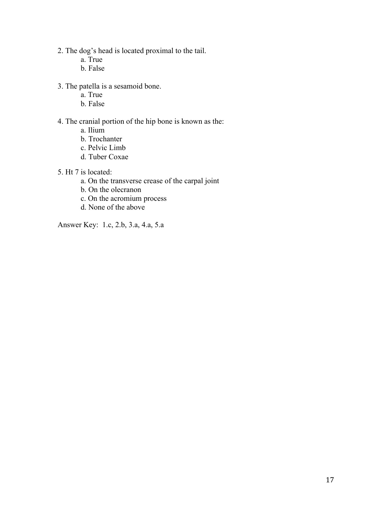- 2. The dog's head is located proximal to the tail.
	- a. True
	- b. False
- 3. The patella is a sesamoid bone.
	- a. True
	- b. False

## 4. The cranial portion of the hip bone is known as the:

- a. Ilium
- b. Trochanter
- c. Pelvic Limb
- d. Tuber Coxae
- 5. Ht 7 is located:
	- a. On the transverse crease of the carpal joint
	- b. On the olecranon
	- c. On the acromium process
	- d. None of the above

Answer Key: 1.c, 2.b, 3.a, 4.a, 5.a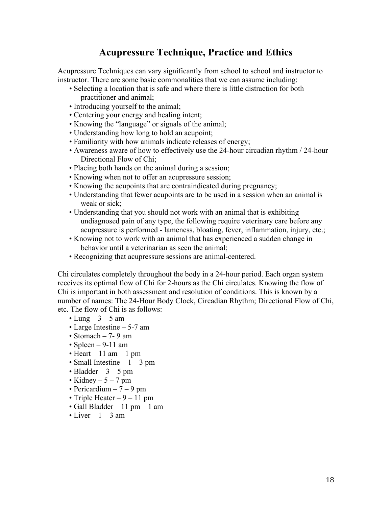# **Acupressure Technique, Practice and Ethics**

Acupressure Techniques can vary significantly from school to school and instructor to instructor. There are some basic commonalities that we can assume including:

- Selecting a location that is safe and where there is little distraction for both practitioner and animal;
- Introducing yourself to the animal;
- Centering your energy and healing intent;
- Knowing the "language" or signals of the animal;
- Understanding how long to hold an acupoint;
- Familiarity with how animals indicate releases of energy;
- Awareness aware of how to effectively use the 24-hour circadian rhythm / 24-hour Directional Flow of Chi;
- Placing both hands on the animal during a session;
- Knowing when not to offer an acupressure session;
- Knowing the acupoints that are contraindicated during pregnancy;
- Understanding that fewer acupoints are to be used in a session when an animal is weak or sick;
- Understanding that you should not work with an animal that is exhibiting undiagnosed pain of any type, the following require veterinary care before any acupressure is performed - lameness, bloating, fever, inflammation, injury, etc.;
- Knowing not to work with an animal that has experienced a sudden change in behavior until a veterinarian as seen the animal;
- Recognizing that acupressure sessions are animal-centered.

Chi circulates completely throughout the body in a 24-hour period. Each organ system receives its optimal flow of Chi for 2-hours as the Chi circulates. Knowing the flow of Chi is important in both assessment and resolution of conditions. This is known by a number of names: The 24-Hour Body Clock, Circadian Rhythm; Directional Flow of Chi, etc. The flow of Chi is as follows:

- Lung  $3 5$  am
- Large Intestine 5-7 am
- Stomach 7- 9 am
- Spleen  $9-11$  am
- Heart 11 am 1 pm
- Small Intestine  $-1 3$  pm
- Bladder  $-3 5$  pm
- Kidney  $5 7$  pm
- Pericardium  $-7 9$  pm
- Triple Heater  $-9 11$  pm
- Gall Bladder 11 pm 1 am
- Liver  $-1 3$  am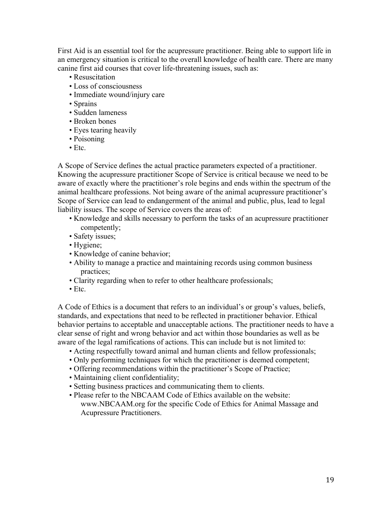First Aid is an essential tool for the acupressure practitioner. Being able to support life in an emergency situation is critical to the overall knowledge of health care. There are many canine first aid courses that cover life-threatening issues, such as:

- Resuscitation
- Loss of consciousness
- Immediate wound/injury care
- Sprains
- Sudden lameness
- Broken bones
- Eyes tearing heavily
- Poisoning
- Etc.

A Scope of Service defines the actual practice parameters expected of a practitioner. Knowing the acupressure practitioner Scope of Service is critical because we need to be aware of exactly where the practitioner's role begins and ends within the spectrum of the animal healthcare professions. Not being aware of the animal acupressure practitioner's Scope of Service can lead to endangerment of the animal and public, plus, lead to legal liability issues. The scope of Service covers the areas of:

- Knowledge and skills necessary to perform the tasks of an acupressure practitioner competently;
- Safety issues;
- Hygiene;
- Knowledge of canine behavior;
- Ability to manage a practice and maintaining records using common business practices;
- Clarity regarding when to refer to other healthcare professionals;
- Etc.

A Code of Ethics is a document that refers to an individual's or group's values, beliefs, standards, and expectations that need to be reflected in practitioner behavior. Ethical behavior pertains to acceptable and unacceptable actions. The practitioner needs to have a clear sense of right and wrong behavior and act within those boundaries as well as be aware of the legal ramifications of actions. This can include but is not limited to:

- Acting respectfully toward animal and human clients and fellow professionals;
- Only performing techniques for which the practitioner is deemed competent;
- Offering recommendations within the practitioner's Scope of Practice;
- Maintaining client confidentiality;
- Setting business practices and communicating them to clients.
- Please refer to the NBCAAM Code of Ethics available on the website: www.NBCAAM.org for the specific Code of Ethics for Animal Massage and Acupressure Practitioners.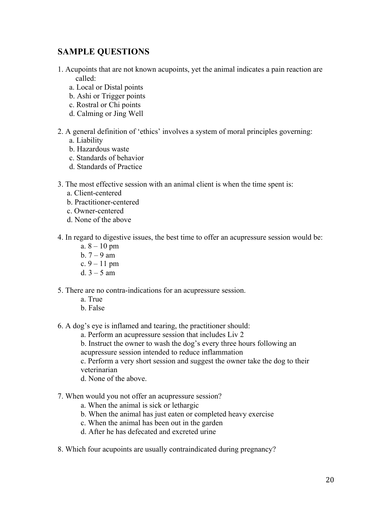## **SAMPLE QUESTIONS**

- 1. Acupoints that are not known acupoints, yet the animal indicates a pain reaction are called:
	- a. Local or Distal points
	- b. Ashi or Trigger points
	- c. Rostral or Chi points
	- d. Calming or Jing Well
- 2. A general definition of 'ethics' involves a system of moral principles governing:
	- a. Liability
	- b. Hazardous waste
	- c. Standards of behavior
	- d. Standards of Practice
- 3. The most effective session with an animal client is when the time spent is:
	- a. Client-centered
	- b. Practitioner-centered
	- c. Owner-centered
	- d. None of the above
- 4. In regard to digestive issues, the best time to offer an acupressure session would be:
	- a.  $8 10$  pm
	- b.  $7 9$  am
	- c.  $9 11$  pm
	- d.  $3 5$  am
- 5. There are no contra-indications for an acupressure session.
	- a. True
	- b. False
- 6. A dog's eye is inflamed and tearing, the practitioner should:
	- a. Perform an acupressure session that includes Liv 2
	- b. Instruct the owner to wash the dog's every three hours following an
	- acupressure session intended to reduce inflammation

c. Perform a very short session and suggest the owner take the dog to their veterinarian

- d. None of the above.
- 7. When would you not offer an acupressure session?
	- a. When the animal is sick or lethargic
	- b. When the animal has just eaten or completed heavy exercise
	- c. When the animal has been out in the garden
	- d. After he has defecated and excreted urine
- 8. Which four acupoints are usually contraindicated during pregnancy?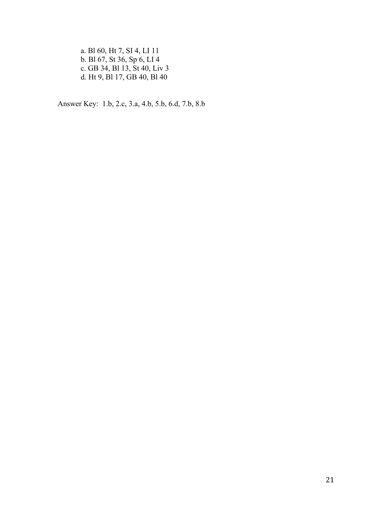a. Bl 60, Ht 7, SI 4, LI 11 b. Bl 67, St 36, Sp 6, LI 4 c. GB 34, Bl 13, St 40, Liv 3 d. Ht 9, Bl 17, GB 40, Bl 40

Answer Key: 1.b, 2.c, 3.a, 4.b, 5.b, 6.d, 7.b, 8.b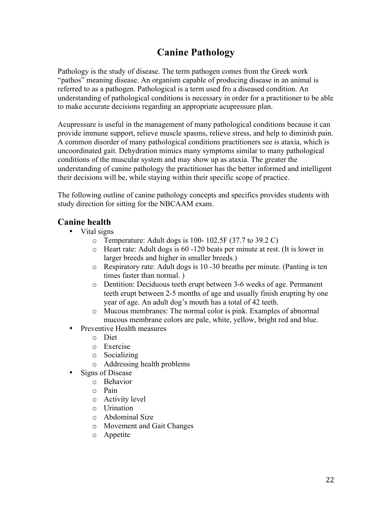# **Canine Pathology**

Pathology is the study of disease. The term pathogen comes from the Greek work "pathos" meaning disease. An organism capable of producing disease in an animal is referred to as a pathogen. Pathological is a term used fro a diseased condition. An understanding of pathological conditions is necessary in order for a practitioner to be able to make accurate decisions regarding an appropriate acupressure plan.

Acupressure is useful in the management of many pathological conditions because it can provide immune support, relieve muscle spasms, relieve stress, and help to diminish pain. A common disorder of many pathological conditions practitioners see is ataxia, which is uncoordinated gait. Dehydration mimics many symptoms similar to many pathological conditions of the muscular system and may show up as ataxia. The greater the understanding of canine pathology the practitioner has the better informed and intelligent their decisions will be, while staying within their specific scope of practice.

The following outline of canine pathology concepts and specifics provides students with study direction for sitting for the NBCAAM exam.

## **Canine health**

- Vital signs
	- $\circ$  Temperature: Adult dogs is 100- 102.5F (37.7 to 39.2 C)
	- o Heart rate: Adult dogs is 60 -120 beats per minute at rest. (It is lower in larger breeds and higher in smaller breeds.)
	- o Respiratory rate: Adult dogs is 10 -30 breaths per minute. (Panting is ten times faster than normal. )
	- o Dentition: Deciduous teeth erupt between 3-6 weeks of age. Permanent teeth erupt between 2-5 months of age and usually finish erupting by one year of age. An adult dog's mouth has a total of 42 teeth.
	- o Mucous membranes: The normal color is pink. Examples of abnormal mucous membrane colors are pale, white, yellow, bright red and blue.
- Preventive Health measures
	- o Diet
	- o Exercise
	- o Socializing
	- o Addressing health problems
- Signs of Disease
	- o Behavior
	- o Pain
	- o Activity level
	- o Urination
	- o Abdominal Size
	- o Movement and Gait Changes
	- o Appetite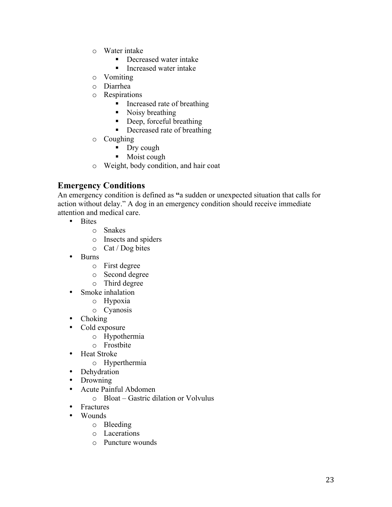- o Water intake
	- Decreased water intake
	- Increased water intake
- o Vomiting
- o Diarrhea
- o Respirations
	- **Increased rate of breathing**
	- Noisy breathing
	- Deep, forceful breathing
	- Decreased rate of breathing
- o Coughing
	- Dry cough
	- Moist cough
- o Weight, body condition, and hair coat

## **Emergency Conditions**

An emergency condition is defined as **"**a sudden or unexpected situation that calls for action without delay." A dog in an emergency condition should receive immediate attention and medical care.

- Bites
	- o Snakes
	- o Insects and spiders
	- o Cat / Dog bites
- Burns
	- o First degree
	- o Second degree
	- o Third degree
- Smoke inhalation
	- o Hypoxia
	- o Cyanosis
- Choking
- Cold exposure
	- o Hypothermia
	- o Frostbite
- Heat Stroke
	- o Hyperthermia
- Dehydration
- Drowning
- Acute Painful Abdomen
	- o Bloat Gastric dilation or Volvulus
- Fractures
- Wounds
	- o Bleeding
	- o Lacerations
	- o Puncture wounds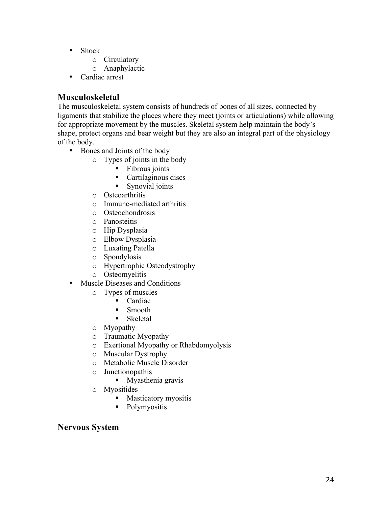- Shock
	- o Circulatory
	- o Anaphylactic
- Cardiac arrest

## **Musculoskeletal**

The musculoskeletal system consists of hundreds of bones of all sizes, connected by ligaments that stabilize the places where they meet (joints or articulations) while allowing for appropriate movement by the muscles. Skeletal system help maintain the body's shape, protect organs and bear weight but they are also an integral part of the physiology of the body.

- Bones and Joints of the body
	- o Types of joints in the body
		- Fibrous joints
		- **Cartilaginous discs**
		- Synovial joints
	- o Osteoarthritis
	- o Immune-mediated arthritis
	- o Osteochondrosis
	- o Panosteitis
	- o Hip Dysplasia
	- o Elbow Dysplasia
	- o Luxating Patella
	- o Spondylosis
	- o Hypertrophic Osteodystrophy
	- o Osteomyelitis
- Muscle Diseases and Conditions
	- o Types of muscles
		- Cardiac
		- **Smooth**
		- **Skeletal**
	- o Myopathy
	- o Traumatic Myopathy
	- o Exertional Myopathy or Rhabdomyolysis
	- o Muscular Dystrophy
	- o Metabolic Muscle Disorder
	- o Junctionopathis
		- **Myasthenia gravis**
	- o Myositides
		- **Masticatory myositis**
		- Polymyositis

## **Nervous System**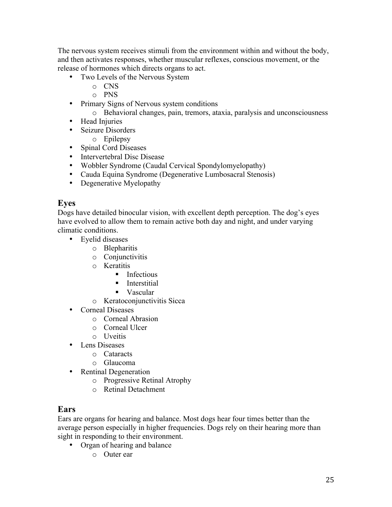The nervous system receives stimuli from the environment within and without the body, and then activates responses, whether muscular reflexes, conscious movement, or the release of hormones which directs organs to act.

- Two Levels of the Nervous System
	- o CNS
	- o PNS
- Primary Signs of Nervous system conditions
	- o Behavioral changes, pain, tremors, ataxia, paralysis and unconsciousness
- Head Injuries
- Seizure Disorders
	- o Epilepsy
- Spinal Cord Diseases
- Intervertebral Disc Disease
- Wobbler Syndrome (Caudal Cervical Spondylomyelopathy)
- Cauda Equina Syndrome (Degenerative Lumbosacral Stenosis)
- Degenerative Myelopathy

## **Eyes**

Dogs have detailed binocular vision, with excellent depth perception. The dog's eyes have evolved to allow them to remain active both day and night, and under varying climatic conditions.

- Eyelid diseases
	- o Blepharitis
	- o Conjunctivitis
	- o Keratitis
		- $\blacksquare$  Infectious
		- $\blacksquare$  Interstitial
		- Vascular
	- o Keratoconjunctivitis Sicca
- Corneal Diseases
	- o Corneal Abrasion
	- o Corneal Ulcer
	- o Uveitis
- Lens Diseases
	- o Cataracts
	- o Glaucoma
- Rentinal Degeneration
	- o Progressive Retinal Atrophy
	- o Retinal Detachment

## **Ears**

Ears are organs for hearing and balance. Most dogs hear four times better than the average person especially in higher frequencies. Dogs rely on their hearing more than sight in responding to their environment.

- Organ of hearing and balance
	- o Outer ear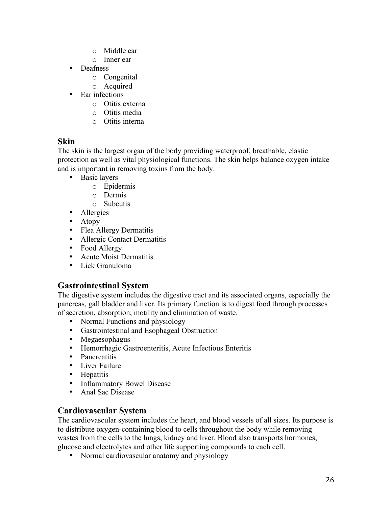- o Middle ear
- o Inner ear
- Deafness
	- o Congenital
	- o Acquired
- Ear infections
	- o Otitis externa
	- o Otitis media
	- o Otitis interna

## **Skin**

The skin is the largest organ of the body providing waterproof, breathable, elastic protection as well as vital physiological functions. The skin helps balance oxygen intake and is important in removing toxins from the body.

- Basic layers
	- o Epidermis
	- o Dermis
	- o Subcutis
- Allergies
- Atopy
- Flea Allergy Dermatitis
- Allergic Contact Dermatitis
- Food Allergy
- Acute Moist Dermatitis
- Lick Granuloma

## **Gastrointestinal System**

The digestive system includes the digestive tract and its associated organs, especially the pancreas, gall bladder and liver. Its primary function is to digest food through processes of secretion, absorption, motility and elimination of waste.

- Normal Functions and physiology
- Gastrointestinal and Esophageal Obstruction
- Megaesophagus
- Hemorrhagic Gastroenteritis, Acute Infectious Enteritis
- Pancreatitis
- Liver Failure
- Hepatitis
- Inflammatory Bowel Disease
- Anal Sac Disease

## **Cardiovascular System**

The cardiovascular system includes the heart, and blood vessels of all sizes. Its purpose is to distribute oxygen-containing blood to cells throughout the body while removing wastes from the cells to the lungs, kidney and liver. Blood also transports hormones, glucose and electrolytes and other life supporting compounds to each cell.

• Normal cardiovascular anatomy and physiology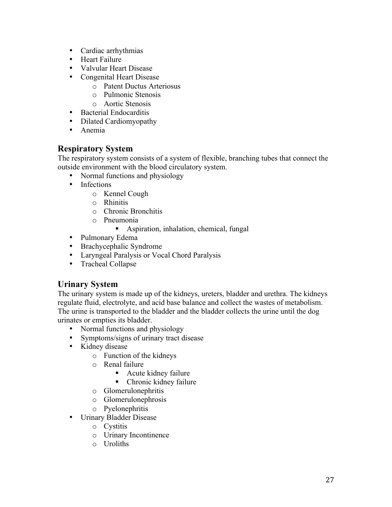- Cardiac arrhythmias
- Heart Failure
- Valvular Heart Disease
- Congenital Heart Disease
	- o Patent Ductus Arteriosus
	- o Pulmonic Stenosis
	- o Aortic Stenosis
- Bacterial Endocarditis
- Dilated Cardiomyopathy
- Anemia

## **Respiratory System**

The respiratory system consists of a system of flexible, branching tubes that connect the outside environment with the blood circulatory system.

- Normal functions and physiology
- Infections
	- o Kennel Cough
	- o Rhinitis
	- o Chronic Bronchitis
	- o Pneumonia
		- Aspiration, inhalation, chemical, fungal
- Pulmonary Edema
- Brachycephalic Syndrome
- Laryngeal Paralysis or Vocal Chord Paralysis
- Tracheal Collapse

## **Urinary System**

The urinary system is made up of the kidneys, ureters, bladder and urethra. The kidneys regulate fluid, electrolyte, and acid base balance and collect the wastes of metabolism. The urine is transported to the bladder and the bladder collects the urine until the dog urinates or empties its bladder.

- Normal functions and physiology
- Symptoms/signs of urinary tract disease
- Kidney disease
	- o Function of the kidneys
	- o Renal failure
		- Acute kidney failure
		- Chronic kidney failure
	- o Glomerulonephritis
	- o Glomerulonephrosis
	- o Pyelonephritis
- Urinary Bladder Disease
	- o Cystitis
	- o Urinary Incontinence
	- o Uroliths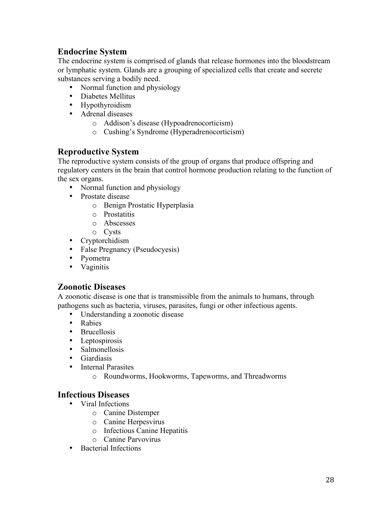## **Endocrine System**

The endocrine system is comprised of glands that release hormones into the bloodstream or lymphatic system. Glands are a grouping of specialized cells that create and secrete substances serving a bodily need.

- Normal function and physiology
- Diabetes Mellitus
- Hypothyroidism
- Adrenal diseases
	- o Addison's disease (Hypoadrenocorticism)
	- o Cushing's Syndrome (Hyperadrenocorticism)

## **Reproductive System**

The reproductive system consists of the group of organs that produce offspring and regulatory centers in the brain that control hormone production relating to the function of the sex organs.

- Normal function and physiology
- Prostate disease
	- o Benign Prostatic Hyperplasia
	- o Prostatitis
	- o Abscesses
	- o Cysts
- Cryptorchidism
- False Pregnancy (Pseudocyesis)
- Pyometra
- Vaginitis

## **Zoonotic Diseases**

A zoonotic disease is one that is transmissible from the animals to humans, through pathogens such as bacteria, viruses, parasites, fungi or other infectious agents.

- Understanding a zoonotic disease
- Rabies
- Brucellosis
- Leptospirosis
- Salmonellosis
- Giardiasis
- Internal Parasites
	- o Roundworms, Hookworms, Tapeworms, and Threadworms

## **Infectious Diseases**

- Viral Infections
	- o Canine Distemper
	- o Canine Herpesvirus
	- o Infectious Canine Hepatitis
	- o Canine Parvovirus
- Bacterial Infections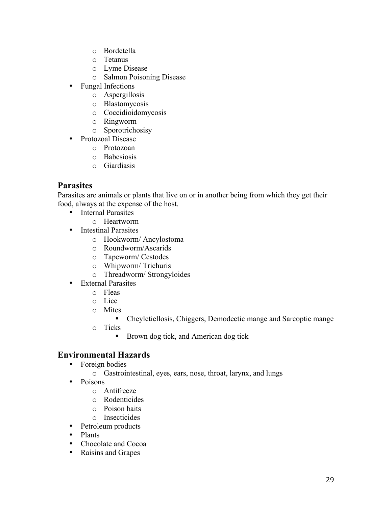- o Bordetella
- o Tetanus
- o Lyme Disease
- o Salmon Poisoning Disease
- Fungal Infections
	- o Aspergillosis
	- o Blastomycosis
	- o Coccidioidomycosis
	- o Ringworm
	- o Sporotrichosisy
- Protozoal Disease
	- o Protozoan
	- o Babesiosis
	- o Giardiasis

## **Parasites**

Parasites are animals or plants that live on or in another being from which they get their food, always at the expense of the host.

- Internal Parasites
	- o Heartworm
- Intestinal Parasites
	- o Hookworm/ Ancylostoma
	- o Roundworm/Ascarids
	- o Tapeworm/ Cestodes
	- o Whipworm/ Trichuris
	- o Threadworm/ Strongyloides
- External Parasites
	- o Fleas
	- o Lice
	- o Mites
		- Cheyletiellosis, Chiggers, Demodectic mange and Sarcoptic mange
	- o Ticks
		- Brown dog tick, and American dog tick

## **Environmental Hazards**

- Foreign bodies
	- o Gastrointestinal, eyes, ears, nose, throat, larynx, and lungs
- Poisons
	- o Antifreeze
	- o Rodenticides
	- o Poison baits
	- o Insecticides
- Petroleum products
- Plants
- Chocolate and Cocoa
- Raisins and Grapes